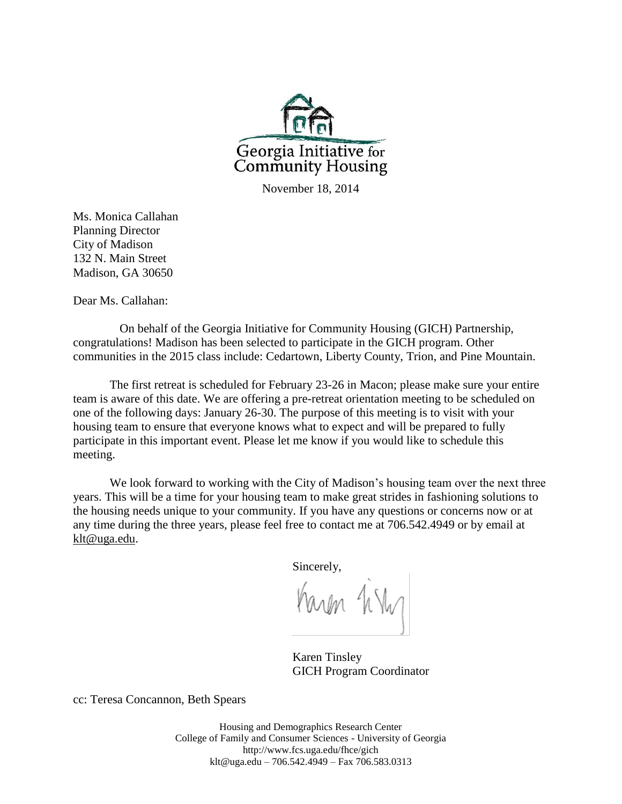

November 18, 2014

Ms. Monica Callahan Planning Director City of Madison 132 N. Main Street Madison, GA 30650

Dear Ms. Callahan:

On behalf of the Georgia Initiative for Community Housing (GICH) Partnership, congratulations! Madison has been selected to participate in the GICH program. Other communities in the 2015 class include: Cedartown, Liberty County, Trion, and Pine Mountain.

The first retreat is scheduled for February 23-26 in Macon; please make sure your entire team is aware of this date. We are offering a pre-retreat orientation meeting to be scheduled on one of the following days: January 26-30. The purpose of this meeting is to visit with your housing team to ensure that everyone knows what to expect and will be prepared to fully participate in this important event. Please let me know if you would like to schedule this meeting.

We look forward to working with the City of Madison's housing team over the next three years. This will be a time for your housing team to make great strides in fashioning solutions to the housing needs unique to your community. If you have any questions or concerns now or at any time during the three years, please feel free to contact me at 706.542.4949 or by email at [klt@uga.edu.](mailto:klt@uga.edu)

Sincerely,

Karen 1ik

Karen Tinsley GICH Program Coordinator

cc: Teresa Concannon, Beth Spears

Housing and Demographics Research Center College of Family and Consumer Sciences - University of Georgia http://www.fcs.uga.edu/fhce/gich [klt@uga.edu](mailto:klt@uga.edu) – 706.542.4949 – Fax 706.583.0313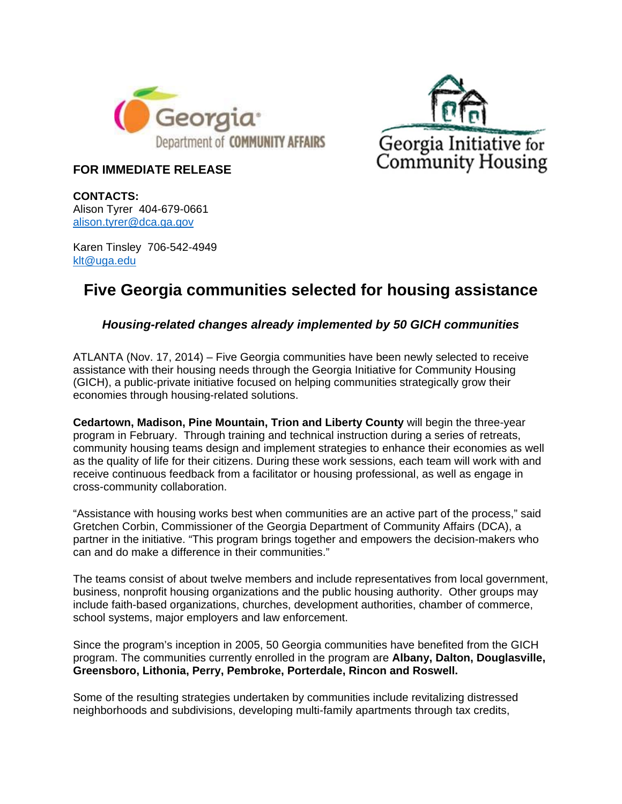



## **FOR IMMEDIATE RELEASE**

**CONTACTS:**  Alison Tyrer 404-679-0661 alison.tyrer@dca.ga.gov

Karen Tinsley 706-542-4949 klt@uga.edu

## **Five Georgia communities selected for housing assistance**

## *Housing-related changes already implemented by 50 GICH communities*

ATLANTA (Nov. 17, 2014) – Five Georgia communities have been newly selected to receive assistance with their housing needs through the Georgia Initiative for Community Housing (GICH), a public-private initiative focused on helping communities strategically grow their economies through housing-related solutions.

**Cedartown, Madison, Pine Mountain, Trion and Liberty County** will begin the three-year program in February. Through training and technical instruction during a series of retreats, community housing teams design and implement strategies to enhance their economies as well as the quality of life for their citizens. During these work sessions, each team will work with and receive continuous feedback from a facilitator or housing professional, as well as engage in cross-community collaboration.

"Assistance with housing works best when communities are an active part of the process," said Gretchen Corbin, Commissioner of the Georgia Department of Community Affairs (DCA), a partner in the initiative. "This program brings together and empowers the decision-makers who can and do make a difference in their communities."

The teams consist of about twelve members and include representatives from local government, business, nonprofit housing organizations and the public housing authority. Other groups may include faith-based organizations, churches, development authorities, chamber of commerce, school systems, major employers and law enforcement.

Since the program's inception in 2005, 50 Georgia communities have benefited from the GICH program. The communities currently enrolled in the program are **Albany, Dalton, Douglasville, Greensboro, Lithonia, Perry, Pembroke, Porterdale, Rincon and Roswell.**

Some of the resulting strategies undertaken by communities include revitalizing distressed neighborhoods and subdivisions, developing multi-family apartments through tax credits,